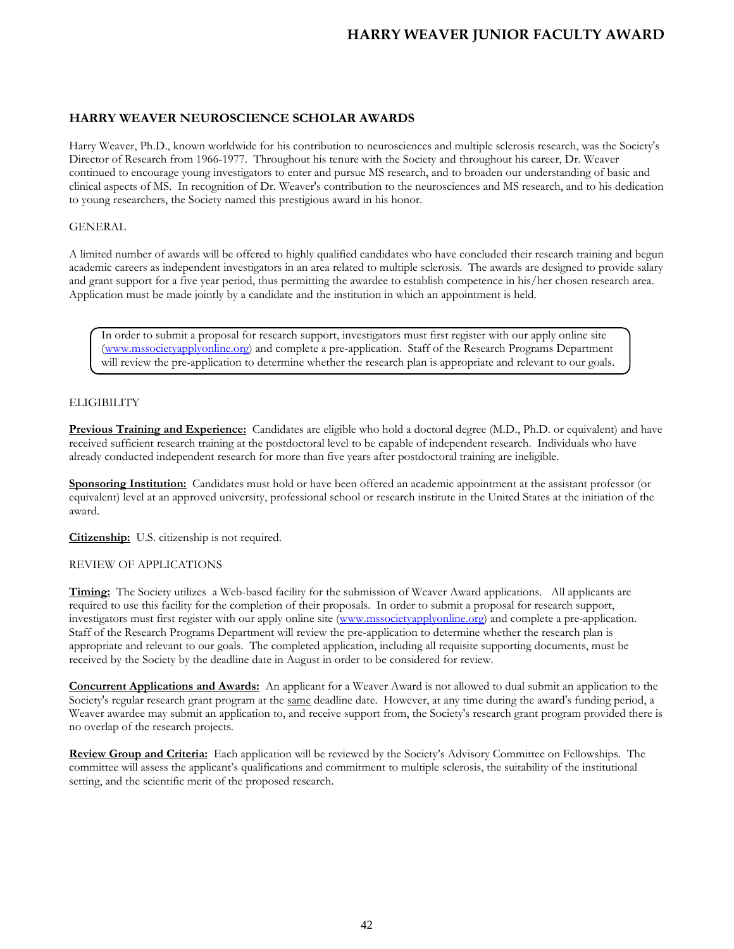# **HARRY WEAVER NEUROSCIENCE SCHOLAR AWARDS**

Harry Weaver, Ph.D., known worldwide for his contribution to neurosciences and multiple sclerosis research, was the Society's Director of Research from 1966-1977. Throughout his tenure with the Society and throughout his career, Dr. Weaver continued to encourage young investigators to enter and pursue MS research, and to broaden our understanding of basic and clinical aspects of MS. In recognition of Dr. Weaver's contribution to the neurosciences and MS research, and to his dedication to young researchers, the Society named this prestigious award in his honor.

### GENERAL

A limited number of awards will be offered to highly qualified candidates who have concluded their research training and begun academic careers as independent investigators in an area related to multiple sclerosis. The awards are designed to provide salary and grant support for a five year period, thus permitting the awardee to establish competence in his/her chosen research area. Application must be made jointly by a candidate and the institution in which an appointment is held.

In order to submit a proposal for research support, investigators must first register with our apply online site [\(www.mssocietyapplyonline.org\)](http://www.mssocietyapplyonline.org/) and complete a pre-application. Staff of the Research Programs Department will review the pre-application to determine whether the research plan is appropriate and relevant to our goals.

# **ELIGIBILITY**

**Previous Training and Experience:** Candidates are eligible who hold a doctoral degree (M.D., Ph.D. or equivalent) and have received sufficient research training at the postdoctoral level to be capable of independent research. Individuals who have already conducted independent research for more than five years after postdoctoral training are ineligible.

**Sponsoring Institution:** Candidates must hold or have been offered an academic appointment at the assistant professor (or equivalent) level at an approved university, professional school or research institute in the United States at the initiation of the award.

**Citizenship:** U.S. citizenship is not required.

#### REVIEW OF APPLICATIONS

**Timing:** The Society utilizes a Web-based facility for the submission of Weaver Award applications. All applicants are required to use this facility for the completion of their proposals. In order to submit a proposal for research support, investigators must first register with our apply online site [\(www.mssocietyapplyonline.org\)](http://www.mssocietyapplyonline.org/) and complete a pre-application. Staff of the Research Programs Department will review the pre-application to determine whether the research plan is appropriate and relevant to our goals. The completed application, including all requisite supporting documents, must be received by the Society by the deadline date in August in order to be considered for review.

**Concurrent Applications and Awards:** An applicant for a Weaver Award is not allowed to dual submit an application to the Society's regular research grant program at the same deadline date. However, at any time during the award's funding period, a Weaver awardee may submit an application to, and receive support from, the Society's research grant program provided there is no overlap of the research projects.

**Review Group and Criteria:** Each application will be reviewed by the Society's Advisory Committee on Fellowships. The committee will assess the applicant's qualifications and commitment to multiple sclerosis, the suitability of the institutional setting, and the scientific merit of the proposed research.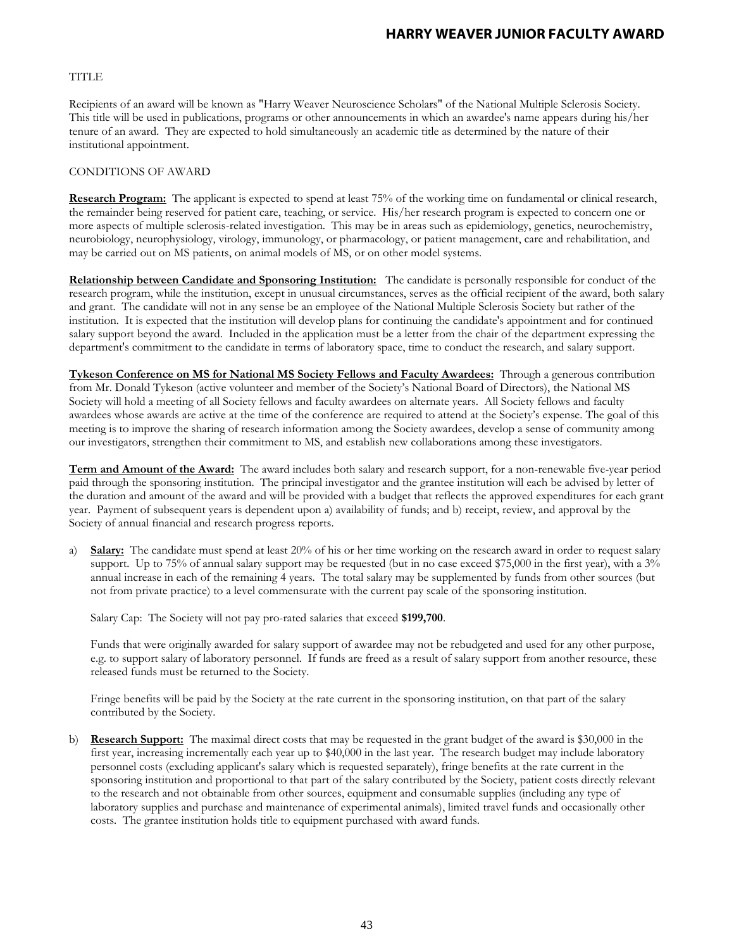# **TITLE**

Recipients of an award will be known as "Harry Weaver Neuroscience Scholars" of the National Multiple Sclerosis Society. This title will be used in publications, programs or other announcements in which an awardee's name appears during his/her tenure of an award. They are expected to hold simultaneously an academic title as determined by the nature of their institutional appointment.

### CONDITIONS OF AWARD

**Research Program:** The applicant is expected to spend at least 75% of the working time on fundamental or clinical research, the remainder being reserved for patient care, teaching, or service. His/her research program is expected to concern one or more aspects of multiple sclerosis-related investigation. This may be in areas such as epidemiology, genetics, neurochemistry, neurobiology, neurophysiology, virology, immunology, or pharmacology, or patient management, care and rehabilitation, and may be carried out on MS patients, on animal models of MS, or on other model systems.

**Relationship between Candidate and Sponsoring Institution:** The candidate is personally responsible for conduct of the research program, while the institution, except in unusual circumstances, serves as the official recipient of the award, both salary and grant. The candidate will not in any sense be an employee of the National Multiple Sclerosis Society but rather of the institution. It is expected that the institution will develop plans for continuing the candidate's appointment and for continued salary support beyond the award. Included in the application must be a letter from the chair of the department expressing the department's commitment to the candidate in terms of laboratory space, time to conduct the research, and salary support.

**Tykeson Conference on MS for National MS Society Fellows and Faculty Awardees:** Through a generous contribution from Mr. Donald Tykeson (active volunteer and member of the Society's National Board of Directors), the National MS Society will hold a meeting of all Society fellows and faculty awardees on alternate years. All Society fellows and faculty awardees whose awards are active at the time of the conference are required to attend at the Society's expense. The goal of this meeting is to improve the sharing of research information among the Society awardees, develop a sense of community among our investigators, strengthen their commitment to MS, and establish new collaborations among these investigators.

**Term and Amount of the Award:** The award includes both salary and research support, for a non-renewable five-year period paid through the sponsoring institution. The principal investigator and the grantee institution will each be advised by letter of the duration and amount of the award and will be provided with a budget that reflects the approved expenditures for each grant year. Payment of subsequent years is dependent upon a) availability of funds; and b) receipt, review, and approval by the Society of annual financial and research progress reports.

a) **Salary:** The candidate must spend at least 20% of his or her time working on the research award in order to request salary support. Up to 75% of annual salary support may be requested (but in no case exceed \$75,000 in the first year), with a 3% annual increase in each of the remaining 4 years. The total salary may be supplemented by funds from other sources (but not from private practice) to a level commensurate with the current pay scale of the sponsoring institution.

Salary Cap: The Society will not pay pro-rated salaries that exceed **\$199,700**.

Funds that were originally awarded for salary support of awardee may not be rebudgeted and used for any other purpose, e.g. to support salary of laboratory personnel. If funds are freed as a result of salary support from another resource, these released funds must be returned to the Society.

Fringe benefits will be paid by the Society at the rate current in the sponsoring institution, on that part of the salary contributed by the Society.

b) **Research Support:** The maximal direct costs that may be requested in the grant budget of the award is \$30,000 in the first year, increasing incrementally each year up to \$40,000 in the last year. The research budget may include laboratory personnel costs (excluding applicant's salary which is requested separately), fringe benefits at the rate current in the sponsoring institution and proportional to that part of the salary contributed by the Society, patient costs directly relevant to the research and not obtainable from other sources, equipment and consumable supplies (including any type of laboratory supplies and purchase and maintenance of experimental animals), limited travel funds and occasionally other costs. The grantee institution holds title to equipment purchased with award funds.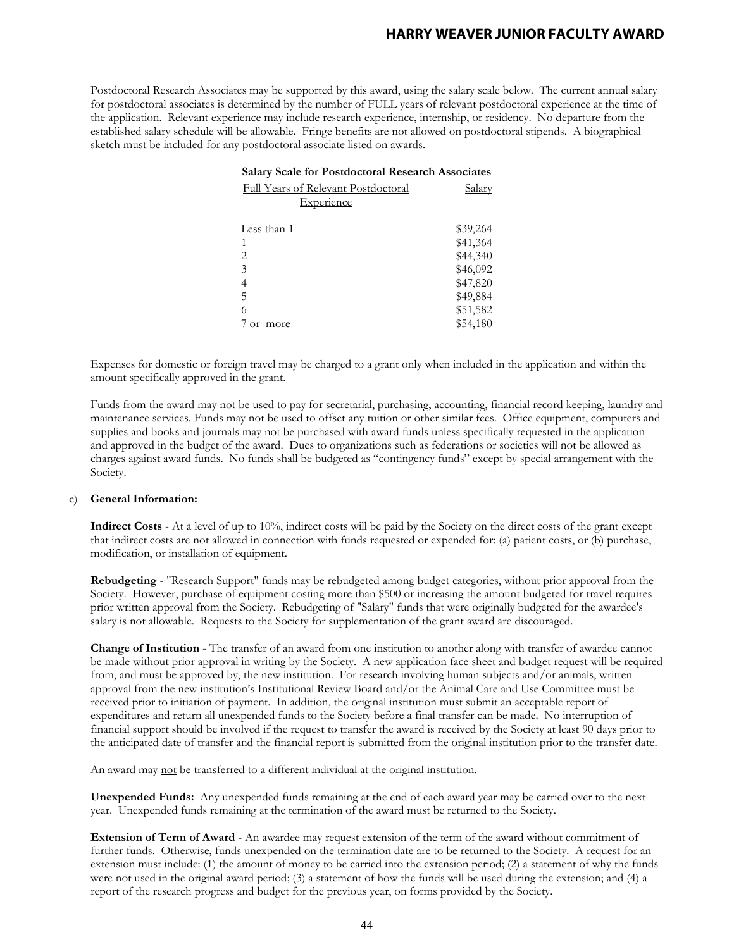Postdoctoral Research Associates may be supported by this award, using the salary scale below. The current annual salary for postdoctoral associates is determined by the number of FULL years of relevant postdoctoral experience at the time of the application. Relevant experience may include research experience, internship, or residency. No departure from the established salary schedule will be allowable. Fringe benefits are not allowed on postdoctoral stipends. A biographical sketch must be included for any postdoctoral associate listed on awards.

| <b>Salary Scale for Postdoctoral Research Associates</b> |               |
|----------------------------------------------------------|---------------|
| Full Years of Relevant Postdoctoral                      | <u>Salary</u> |
| <b>Experience</b>                                        |               |
|                                                          |               |
| Less than 1                                              | \$39,264      |
| 1                                                        | \$41,364      |
| 2                                                        | \$44,340      |
| 3                                                        | \$46,092      |
| 4                                                        | \$47,820      |
| 5                                                        | \$49,884      |
| 6                                                        | \$51,582      |
| more                                                     | \$54,180      |

Expenses for domestic or foreign travel may be charged to a grant only when included in the application and within the amount specifically approved in the grant.

Funds from the award may not be used to pay for secretarial, purchasing, accounting, financial record keeping, laundry and maintenance services. Funds may not be used to offset any tuition or other similar fees. Office equipment, computers and supplies and books and journals may not be purchased with award funds unless specifically requested in the application and approved in the budget of the award. Dues to organizations such as federations or societies will not be allowed as charges against award funds. No funds shall be budgeted as "contingency funds" except by special arrangement with the Society.

#### c) **General Information:**

**Indirect Costs** - At a level of up to 10%, indirect costs will be paid by the Society on the direct costs of the grant except that indirect costs are not allowed in connection with funds requested or expended for: (a) patient costs, or (b) purchase, modification, or installation of equipment.

**Rebudgeting** - "Research Support" funds may be rebudgeted among budget categories, without prior approval from the Society. However, purchase of equipment costing more than \$500 or increasing the amount budgeted for travel requires prior written approval from the Society. Rebudgeting of "Salary" funds that were originally budgeted for the awardee's salary is not allowable. Requests to the Society for supplementation of the grant award are discouraged.

**Change of Institution** - The transfer of an award from one institution to another along with transfer of awardee cannot be made without prior approval in writing by the Society. A new application face sheet and budget request will be required from, and must be approved by, the new institution. For research involving human subjects and/or animals, written approval from the new institution's Institutional Review Board and/or the Animal Care and Use Committee must be received prior to initiation of payment. In addition, the original institution must submit an acceptable report of expenditures and return all unexpended funds to the Society before a final transfer can be made. No interruption of financial support should be involved if the request to transfer the award is received by the Society at least 90 days prior to the anticipated date of transfer and the financial report is submitted from the original institution prior to the transfer date.

An award may not be transferred to a different individual at the original institution.

**Unexpended Funds:** Any unexpended funds remaining at the end of each award year may be carried over to the next year. Unexpended funds remaining at the termination of the award must be returned to the Society.

**Extension of Term of Award** - An awardee may request extension of the term of the award without commitment of further funds. Otherwise, funds unexpended on the termination date are to be returned to the Society. A request for an extension must include: (1) the amount of money to be carried into the extension period; (2) a statement of why the funds were not used in the original award period; (3) a statement of how the funds will be used during the extension; and (4) a report of the research progress and budget for the previous year, on forms provided by the Society.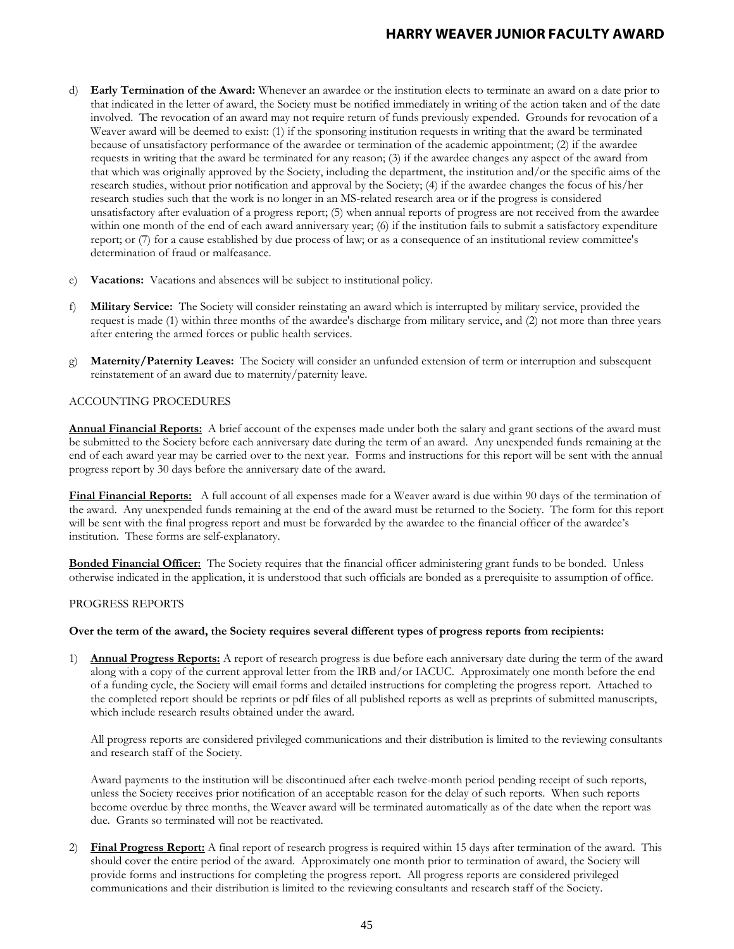- d) **Early Termination of the Award:** Whenever an awardee or the institution elects to terminate an award on a date prior to that indicated in the letter of award, the Society must be notified immediately in writing of the action taken and of the date involved. The revocation of an award may not require return of funds previously expended. Grounds for revocation of a Weaver award will be deemed to exist: (1) if the sponsoring institution requests in writing that the award be terminated because of unsatisfactory performance of the awardee or termination of the academic appointment; (2) if the awardee requests in writing that the award be terminated for any reason; (3) if the awardee changes any aspect of the award from that which was originally approved by the Society, including the department, the institution and/or the specific aims of the research studies, without prior notification and approval by the Society; (4) if the awardee changes the focus of his/her research studies such that the work is no longer in an MS-related research area or if the progress is considered unsatisfactory after evaluation of a progress report; (5) when annual reports of progress are not received from the awardee within one month of the end of each award anniversary year; (6) if the institution fails to submit a satisfactory expenditure report; or (7) for a cause established by due process of law; or as a consequence of an institutional review committee's determination of fraud or malfeasance.
- e) **Vacations:** Vacations and absences will be subject to institutional policy.
- f) **Military Service:** The Society will consider reinstating an award which is interrupted by military service, provided the request is made (1) within three months of the awardee's discharge from military service, and (2) not more than three years after entering the armed forces or public health services.
- g) **Maternity/Paternity Leaves:** The Society will consider an unfunded extension of term or interruption and subsequent reinstatement of an award due to maternity/paternity leave.

### ACCOUNTING PROCEDURES

**Annual Financial Reports:** A brief account of the expenses made under both the salary and grant sections of the award must be submitted to the Society before each anniversary date during the term of an award. Any unexpended funds remaining at the end of each award year may be carried over to the next year. Forms and instructions for this report will be sent with the annual progress report by 30 days before the anniversary date of the award.

**Final Financial Reports:** A full account of all expenses made for a Weaver award is due within 90 days of the termination of the award. Any unexpended funds remaining at the end of the award must be returned to the Society. The form for this report will be sent with the final progress report and must be forwarded by the awardee to the financial officer of the awardee's institution. These forms are self-explanatory.

**Bonded Financial Officer:** The Society requires that the financial officer administering grant funds to be bonded. Unless otherwise indicated in the application, it is understood that such officials are bonded as a prerequisite to assumption of office.

#### PROGRESS REPORTS

#### **Over the term of the award, the Society requires several different types of progress reports from recipients:**

1) **Annual Progress Reports:** A report of research progress is due before each anniversary date during the term of the award along with a copy of the current approval letter from the IRB and/or IACUC. Approximately one month before the end of a funding cycle, the Society will email forms and detailed instructions for completing the progress report. Attached to the completed report should be reprints or pdf files of all published reports as well as preprints of submitted manuscripts, which include research results obtained under the award.

All progress reports are considered privileged communications and their distribution is limited to the reviewing consultants and research staff of the Society.

Award payments to the institution will be discontinued after each twelve-month period pending receipt of such reports, unless the Society receives prior notification of an acceptable reason for the delay of such reports. When such reports become overdue by three months, the Weaver award will be terminated automatically as of the date when the report was due. Grants so terminated will not be reactivated.

2) **Final Progress Report:** A final report of research progress is required within 15 days after termination of the award. This should cover the entire period of the award. Approximately one month prior to termination of award, the Society will provide forms and instructions for completing the progress report. All progress reports are considered privileged communications and their distribution is limited to the reviewing consultants and research staff of the Society.